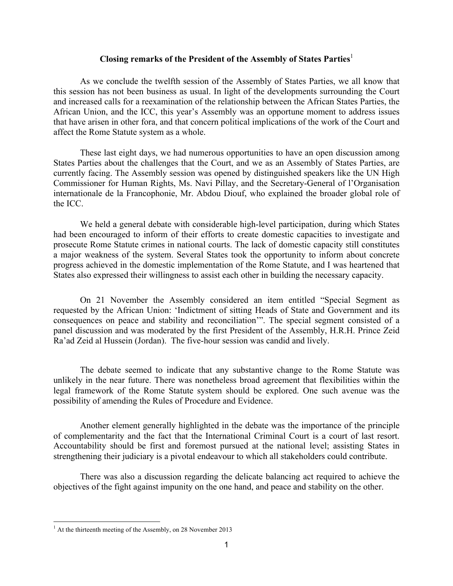## **Closing remarks of the President of the Assembly of States Parties**<sup>1</sup>

As we conclude the twelfth session of the Assembly of States Parties, we all know that this session has not been business as usual. In light of the developments surrounding the Court and increased calls for a reexamination of the relationship between the African States Parties, the African Union, and the ICC, this year's Assembly was an opportune moment to address issues that have arisen in other fora, and that concern political implications of the work of the Court and affect the Rome Statute system as a whole.

These last eight days, we had numerous opportunities to have an open discussion among States Parties about the challenges that the Court, and we as an Assembly of States Parties, are currently facing. The Assembly session was opened by distinguished speakers like the UN High Commissioner for Human Rights, Ms. Navi Pillay, and the Secretary-General of l'Organisation internationale de la Francophonie, Mr. Abdou Diouf, who explained the broader global role of the ICC.

We held a general debate with considerable high-level participation, during which States had been encouraged to inform of their efforts to create domestic capacities to investigate and prosecute Rome Statute crimes in national courts. The lack of domestic capacity still constitutes a major weakness of the system. Several States took the opportunity to inform about concrete progress achieved in the domestic implementation of the Rome Statute, and I was heartened that States also expressed their willingness to assist each other in building the necessary capacity.

On 21 November the Assembly considered an item entitled "Special Segment as requested by the African Union: 'Indictment of sitting Heads of State and Government and its consequences on peace and stability and reconciliation'". The special segment consisted of a panel discussion and was moderated by the first President of the Assembly, H.R.H. Prince Zeid Ra'ad Zeid al Hussein (Jordan). The five-hour session was candid and lively.

The debate seemed to indicate that any substantive change to the Rome Statute was unlikely in the near future. There was nonetheless broad agreement that flexibilities within the legal framework of the Rome Statute system should be explored. One such avenue was the possibility of amending the Rules of Procedure and Evidence.

Another element generally highlighted in the debate was the importance of the principle of complementarity and the fact that the International Criminal Court is a court of last resort. Accountability should be first and foremost pursued at the national level; assisting States in strengthening their judiciary is a pivotal endeavour to which all stakeholders could contribute.

There was also a discussion regarding the delicate balancing act required to achieve the objectives of the fight against impunity on the one hand, and peace and stability on the other.

1

 $<sup>1</sup>$  At the thirteenth meeting of the Assembly, on 28 November 2013</sup>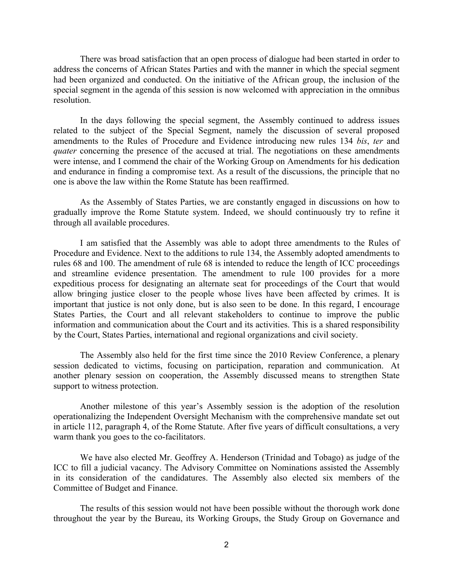There was broad satisfaction that an open process of dialogue had been started in order to address the concerns of African States Parties and with the manner in which the special segment had been organized and conducted. On the initiative of the African group, the inclusion of the special segment in the agenda of this session is now welcomed with appreciation in the omnibus resolution.

In the days following the special segment, the Assembly continued to address issues related to the subject of the Special Segment, namely the discussion of several proposed amendments to the Rules of Procedure and Evidence introducing new rules 134 *bis*, *ter* and *quater* concerning the presence of the accused at trial. The negotiations on these amendments were intense, and I commend the chair of the Working Group on Amendments for his dedication and endurance in finding a compromise text. As a result of the discussions, the principle that no one is above the law within the Rome Statute has been reaffirmed.

As the Assembly of States Parties, we are constantly engaged in discussions on how to gradually improve the Rome Statute system. Indeed, we should continuously try to refine it through all available procedures.

I am satisfied that the Assembly was able to adopt three amendments to the Rules of Procedure and Evidence. Next to the additions to rule 134, the Assembly adopted amendments to rules 68 and 100. The amendment of rule 68 is intended to reduce the length of ICC proceedings and streamline evidence presentation. The amendment to rule 100 provides for a more expeditious process for designating an alternate seat for proceedings of the Court that would allow bringing justice closer to the people whose lives have been affected by crimes. It is important that justice is not only done, but is also seen to be done. In this regard, I encourage States Parties, the Court and all relevant stakeholders to continue to improve the public information and communication about the Court and its activities. This is a shared responsibility by the Court, States Parties, international and regional organizations and civil society.

The Assembly also held for the first time since the 2010 Review Conference, a plenary session dedicated to victims, focusing on participation, reparation and communication. At another plenary session on cooperation, the Assembly discussed means to strengthen State support to witness protection.

Another milestone of this year's Assembly session is the adoption of the resolution operationalizing the Independent Oversight Mechanism with the comprehensive mandate set out in article 112, paragraph 4, of the Rome Statute. After five years of difficult consultations, a very warm thank you goes to the co-facilitators.

We have also elected Mr. Geoffrey A. Henderson (Trinidad and Tobago) as judge of the ICC to fill a judicial vacancy. The Advisory Committee on Nominations assisted the Assembly in its consideration of the candidatures. The Assembly also elected six members of the Committee of Budget and Finance.

The results of this session would not have been possible without the thorough work done throughout the year by the Bureau, its Working Groups, the Study Group on Governance and